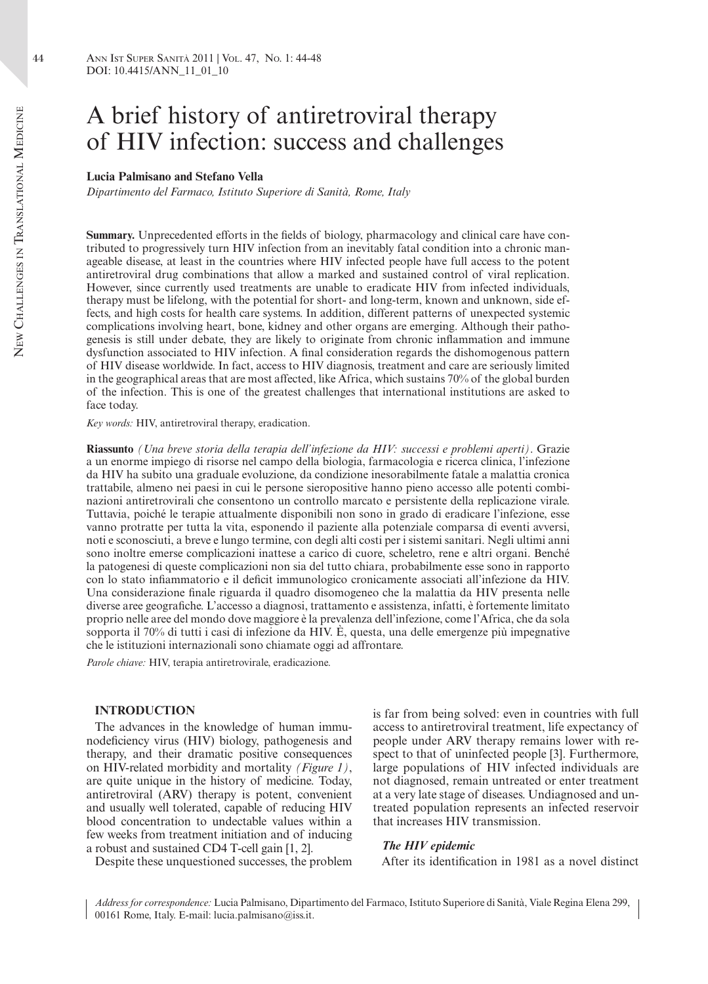# A brief history of antiretroviral therapy of HIV infection: success and challenges

#### **Lucia Palmisano and Stefano Vella**

*Dipartimento del Farmaco, Istituto Superiore di Sanità, Rome, Italy*

**Summary.** Unprecedented efforts in the fields of biology, pharmacology and clinical care have contributed to progressively turn HIV infection from an inevitably fatal condition into a chronic manageable disease, at least in the countries where HIV infected people have full access to the potent antiretroviral drug combinations that allow a marked and sustained control of viral replication. However, since currently used treatments are unable to eradicate HIV from infected individuals, therapy must be lifelong, with the potential for short- and long-term, known and unknown, side effects, and high costs for health care systems. In addition, different patterns of unexpected systemic complications involving heart, bone, kidney and other organs are emerging. Although their pathogenesis is still under debate, they are likely to originate from chronic inflammation and immune dysfunction associated to HIV infection. A final consideration regards the dishomogenous pattern of HIV disease worldwide. In fact, access to HIV diagnosis, treatment and care are seriously limited in the geographical areas that are most affected, like Africa, which sustains 70% of the global burden of the infection. This is one of the greatest challenges that international institutions are asked to face today.

*Key words:* HIV, antiretroviral therapy, eradication.

**Riassunto** *(Una breve storia della terapia dell'infezione da HIV: successi e problemi aperti)*. Grazie a un enorme impiego di risorse nel campo della biologia, farmacologia e ricerca clinica, l'infezione da HIV ha subito una graduale evoluzione, da condizione inesorabilmente fatale a malattia cronica trattabile, almeno nei paesi in cui le persone sieropositive hanno pieno accesso alle potenti combinazioni antiretrovirali che consentono un controllo marcato e persistente della replicazione virale. Tuttavia, poiché le terapie attualmente disponibili non sono in grado di eradicare l'infezione, esse vanno protratte per tutta la vita, esponendo il paziente alla potenziale comparsa di eventi avversi, noti e sconosciuti, a breve e lungo termine, con degli alti costi per i sistemi sanitari. Negli ultimi anni sono inoltre emerse complicazioni inattese a carico di cuore, scheletro, rene e altri organi. Benché la patogenesi di queste complicazioni non sia del tutto chiara, probabilmente esse sono in rapporto con lo stato infiammatorio e il deficit immunologico cronicamente associati all'infezione da HIV. Una considerazione finale riguarda il quadro disomogeneo che la malattia da HIV presenta nelle diverse aree geografiche. L'accesso a diagnosi, trattamento e assistenza, infatti, è fortemente limitato proprio nelle aree del mondo dove maggiore è la prevalenza dell'infezione, come l'Africa, che da sola sopporta il 70% di tutti i casi di infezione da HIV. È, questa, una delle emergenze più impegnative che le istituzioni internazionali sono chiamate oggi ad affrontare.

*Parole chiave:* HIV, terapia antiretrovirale, eradicazione.

# **INTRODUCTION**

The advances in the knowledge of human immunodeficiency virus (HIV) biology, pathogenesis and therapy, and their dramatic positive consequences on HIV-related morbidity and mortality *(Figure 1)*, are quite unique in the history of medicine. Today, antiretroviral (ARV) therapy is potent, convenient and usually well tolerated, capable of reducing HIV blood concentration to undectable values within a few weeks from treatment initiation and of inducing a robust and sustained CD4 T-cell gain [1, 2].

Despite these unquestioned successes, the problem

is far from being solved: even in countries with full access to antiretroviral treatment, life expectancy of people under ARV therapy remains lower with respect to that of uninfected people [3]. Furthermore, large populations of HIV infected individuals are not diagnosed, remain untreated or enter treatment at a very late stage of diseases. Undiagnosed and untreated population represents an infected reservoir that increases HIV transmission.

#### *The HIV epidemic*

After its identification in 1981 as a novel distinct

*Address for correspondence:* Lucia Palmisano, Dipartimento del Farmaco, Istituto Superiore di Sanità, Viale Regina Elena 299, 00161 Rome, Italy. E-mail: lucia.palmisano@iss.it.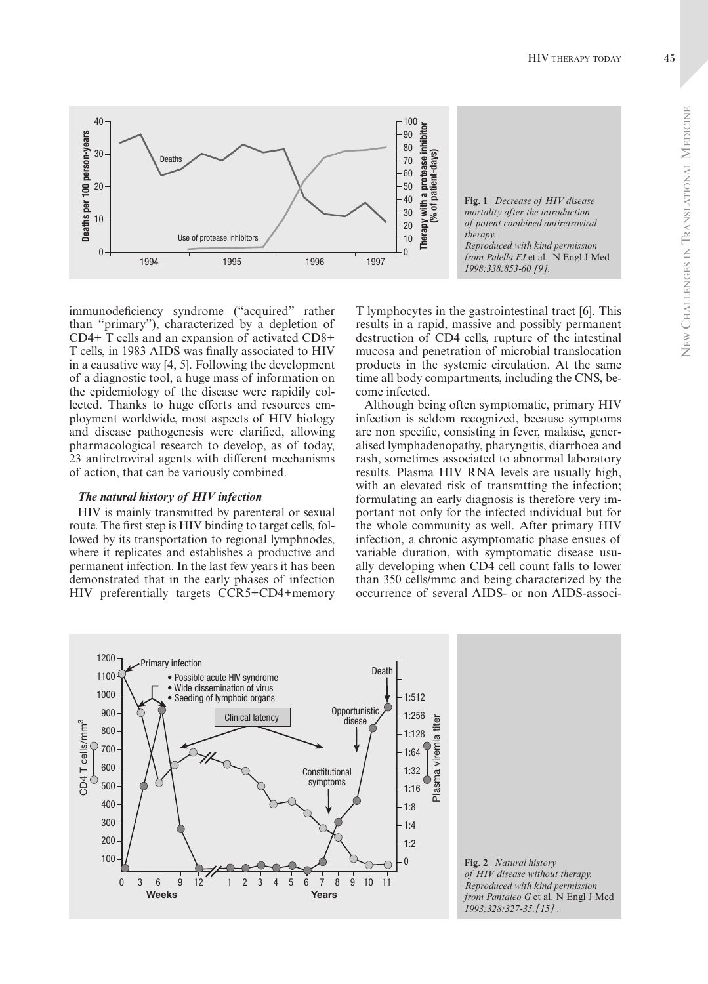45



immunodeficiency syndrome ("acquired" rather than "primary"), characterized by a depletion of CD4+ T cells and an expansion of activated CD8+ T cells, in 1983 AIDS was finally associated to HIV in a causative way [4, 5]. Following the development of a diagnostic tool, a huge mass of information on the epidemiology of the disease were rapidily collected. Thanks to huge efforts and resources employment worldwide, most aspects of HIV biology and disease pathogenesis were clarified, allowing pharmacological research to develop, as of today, 23 antiretroviral agents with different mechanisms of action, that can be variously combined.

## The natural history of HIV infection

HIV is mainly transmitted by parenteral or sexual route. The first step is HIV binding to target cells, followed by its transportation to regional lymphnodes, where it replicates and establishes a productive and permanent infection. In the last few years it has been demonstrated that in the early phases of infection HIV preferentially targets CCR5+CD4+memory T lymphocytes in the gastrointestinal tract [6]. This results in a rapid, massive and possibly permanent destruction of CD4 cells, rupture of the intestinal mucosa and penetration of microbial translocation products in the systemic circulation. At the same time all body compartments, including the CNS, become infected.

Although being often symptomatic, primary HIV infection is seldom recognized, because symptoms are non specific, consisting in fever, malaise, generalised lymphadenopathy, pharyngitis, diarrhoea and rash, sometimes associated to abnormal laboratory results. Plasma HIV RNA levels are usually high, with an elevated risk of transmiting the infection; formulating an early diagnosis is therefore very important not only for the infected individual but for the whole community as well. After primary HIV infection, a chronic asymptomatic phase ensues of variable duration, with symptomatic disease usually developing when CD4 cell count falls to lower than 350 cells/mmc and being characterized by the occurrence of several AIDS- or non AIDS-associ-



Fig. 2 | Natural history of HIV disease without therapy. Reproduced with kind permission from Pantaleo G et al. N Engl J Med 1993;328:327-35. [15].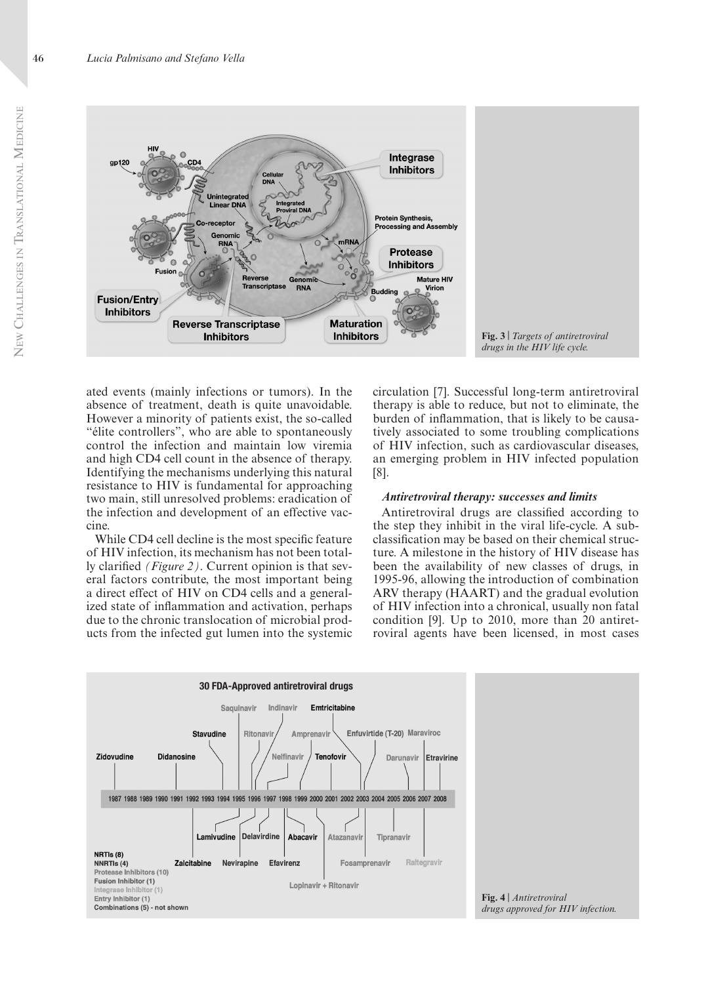

ated events (mainly infections or tumors). In the absence of treatment, death is quite unavoidable. However a minority of patients exist, the so-called "élite controllers", who are able to spontaneously control the infection and maintain low viremia and high CD4 cell count in the absence of therapy. Identifying the mechanisms underlying this natural resistance to HIV is fundamental for approaching two main, still unresolved problems: eradication of the infection and development of an effective vaccine.

While CD4 cell decline is the most specific feature of HIV infection, its mechanism has not been totally clarified *(Figure 2)*. Current opinion is that several factors contribute, the most important being a direct effect of HIV on CD4 cells and a generalized state of inflammation and activation, perhaps due to the chronic translocation of microbial products from the infected gut lumen into the systemic

circulation [7]. Successful long-term antiretroviral therapy is able to reduce, but not to eliminate, the burden of inflammation, that is likely to be causatively associated to some troubling complications of HIV infection, such as cardiovascular diseases, an emerging problem in HIV infected population [8].

#### *Antiretroviral therapy: successes and limits*

Antiretroviral drugs are classified according to the step they inhibit in the viral life-cycle. A subclassification may be based on their chemical structure. A milestone in the history of HIV disease has been the availability of new classes of drugs, in 1995-96, allowing the introduction of combination ARV therapy (HAART) and the gradual evolution of HIV infection into a chronical, usually non fatal condition [9]. Up to 2010, more than 20 antiretroviral agents have been licensed, in most cases

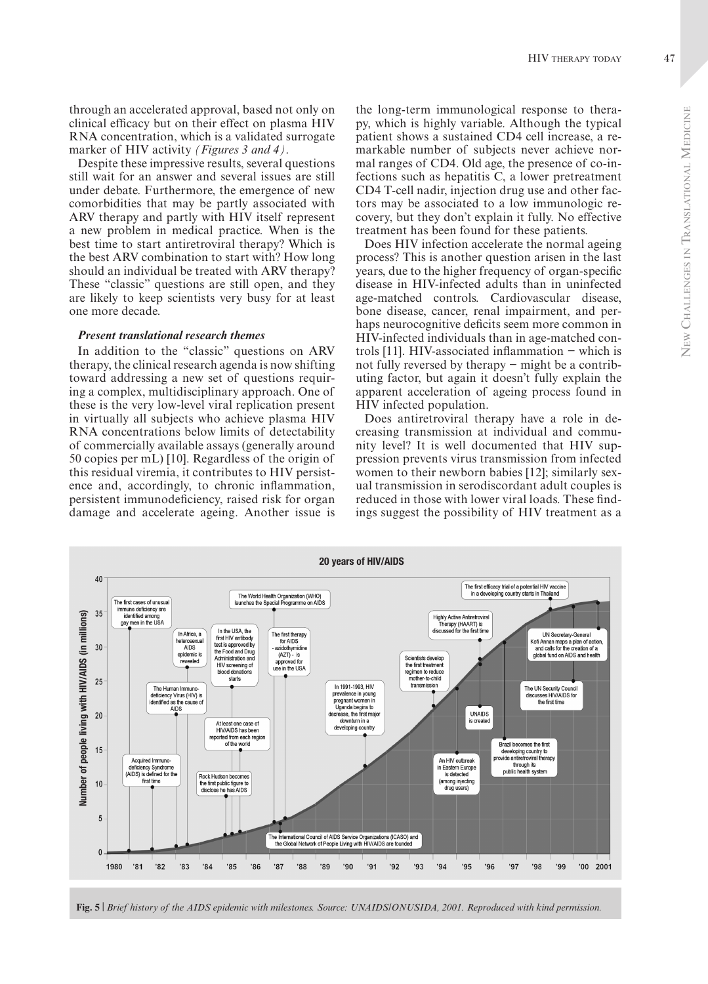through an accelerated approval, based not only on ether long-term immunological response to theraclinical efficacy but on their effect on plasma HIV RNA concentration, which is a validated surrogate marker of HIV activity *(Figures 3 and 4)*.

Despite these impressive results, several questions still wait for an answer and several issues are still under debate. Furthermore, the emergence of new comorbidities that may be partly associated with ARV therapy and partly with HIV itself represent a new problem in medical practice. When is the best time to start antiretroviral therapy? Which is the best ARV combination to start with? How long should an individual be treated with ARV therapy? These "classic" questions are still open, and they are likely to keep scientists very busy for at least one more decade.

# *Present translational research themes*

In addition to the "classic" questions on ARV therapy, the clinical research agenda is now shifting toward addressing a new set of questions requiring a complex, multidisciplinary approach. One of these is the very low-level viral replication present in virtually all subjects who achieve plasma HIV RNA concentrations below limits of detectability of commercially available assays (generally around 50 copies per mL) [10]. Regardless of the origin of this residual viremia, it contributes to HIV persistence and, accordingly, to chronic inflammation, persistent immunodeficiency, raised risk for organ damage and accelerate ageing. Another issue is

py, which is highly variable. Although the typical patient shows a sustained CD4 cell increase, a remarkable number of subjects never achieve normal ranges of CD4. Old age, the presence of co-infections such as hepatitis C, a lower pretreatment CD4 T-cell nadir, injection drug use and other factors may be associated to a low immunologic recovery, but they don't explain it fully. No effective treatment has been found for these patients.

Does HIV infection accelerate the normal ageing process? This is another question arisen in the last years, due to the higher frequency of organ-specific disease in HIV-infected adults than in uninfected age-matched controls. Cardiovascular disease, bone disease, cancer, renal impairment, and perhaps neurocognitive deficits seem more common in HIV-infected individuals than in age-matched controls [11]. HIV-associated inflammation − which is not fully reversed by therapy − might be a contributing factor, but again it doesn't fully explain the apparent acceleration of ageing process found in HIV infected population.

Does antiretroviral therapy have a role in decreasing transmission at individual and community level? It is well documented that HIV suppression prevents virus transmission from infected women to their newborn babies [12]; similarly sexual transmission in serodiscordant adult couples is reduced in those with lower viral loads. These findings suggest the possibility of HIV treatment as a



**Fig. 5** | *Brief history of the AIDS epidemic with milestones. Source: UNAIDS/ONUSIDA, 2001. Reproduced with kind permission.*